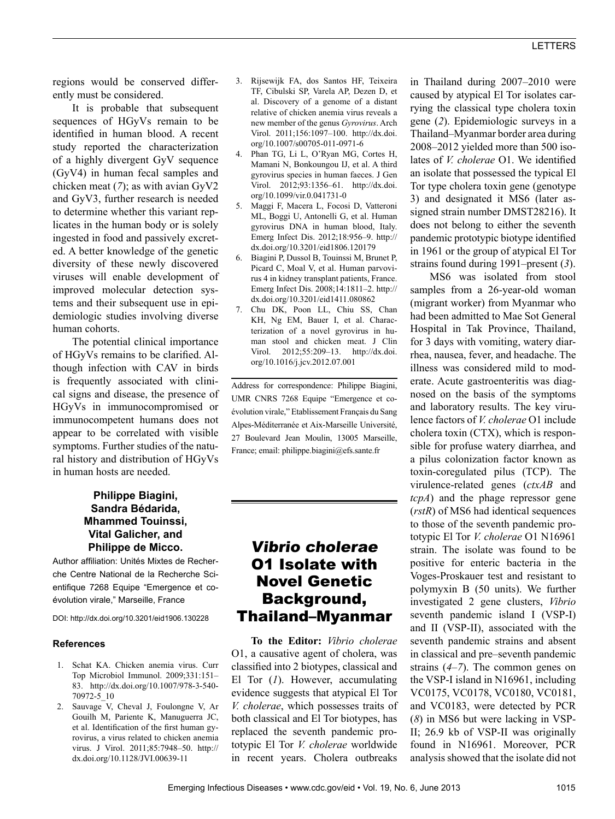regions would be conserved differently must be considered.

It is probable that subsequent sequences of HGyVs remain to be identified in human blood. A recent study reported the characterization of a highly divergent GyV sequence (GyV4) in human fecal samples and chicken meat (*7*); as with avian GyV2 and GyV3, further research is needed to determine whether this variant replicates in the human body or is solely ingested in food and passively excreted. A better knowledge of the genetic diversity of these newly discovered viruses will enable development of improved molecular detection systems and their subsequent use in epidemiologic studies involving diverse human cohorts.

The potential clinical importance of HGyVs remains to be clarified. Although infection with CAV in birds is frequently associated with clinical signs and disease, the presence of HGyVs in immunocompromised or immunocompetent humans does not appear to be correlated with visible symptoms. Further studies of the natural history and distribution of HGyVs in human hosts are needed.

### **Philippe Biagini, Sandra Bédarida, Mhammed Touinssi, Vital Galicher, and Philippe de Micco.**

Author affiliation: Unités Mixtes de Recherche Centre National de la Recherche Scientifique 7268 Equipe "Emergence et coévolution virale," Marseille, France

DOI: http://dx.doi.org/10.3201/eid1906.130228

#### **References**

- 1. Schat KA. Chicken anemia virus. Curr Top Microbiol Immunol. 2009;331:151– 83. http://dx.doi.org/10.1007/978-3-540- 70972-5\_10
- 2. Sauvage V, Cheval J, Foulongne V, Ar Gouilh M, Pariente K, Manuguerra JC, et al. Identification of the first human gyrovirus, a virus related to chicken anemia virus. J Virol. 2011;85:7948–50. http:// dx.doi.org/10.1128/JVI.00639-11
- 3. Rijsewijk FA, dos Santos HF, Teixeira TF, Cibulski SP, Varela AP, Dezen D, et al. Discovery of a genome of a distant relative of chicken anemia virus reveals a new member of the genus *Gyrovirus*. Arch Virol. 2011;156:1097–100. http://dx.doi. org/10.1007/s00705-011-0971-6
- 4. Phan TG, Li L, O'Ryan MG, Cortes H, Mamani N, Bonkoungou IJ, et al. A third gyrovirus species in human faeces. J Gen Virol. 2012;93:1356–61. http://dx.doi. org/10.1099/vir.0.041731-0
- 5. Maggi F, Macera L, Focosi D, Vatteroni ML, Boggi U, Antonelli G, et al. Human gyrovirus DNA in human blood, Italy. Emerg Infect Dis. 2012;18:956–9. http:// dx.doi.org/10.3201/eid1806.120179
- 6. Biagini P, Dussol B, Touinssi M, Brunet P, Picard C, Moal V, et al. Human parvovirus 4 in kidney transplant patients, France. Emerg Infect Dis. 2008;14:1811–2. http:// dx.doi.org/10.3201/eid1411.080862
- 7. Chu DK, Poon LL, Chiu SS, Chan KH, Ng EM, Bauer I, et al. Characterization of a novel gyrovirus in human stool and chicken meat. J Clin Virol. 2012;55:209–13. http://dx.doi. org/10.1016/j.jcv.2012.07.001

Address for correspondence: Philippe Biagini, UMR CNRS 7268 Equipe "Emergence et coévolution virale," Etablissement Français du Sang Alpes-Méditerranée et Aix-Marseille Université, 27 Boulevard Jean Moulin, 13005 Marseille, France; email: philippe.biagini@efs.sante.fr

# Vibrio cholerae O1 Isolate with Novel Genetic Background, Thailand–Myanmar

**To the Editor:** *Vibrio cholerae* O1, a causative agent of cholera, was classified into 2 biotypes, classical and El Tor (*1*). However, accumulating evidence suggests that atypical El Tor *V. cholerae*, which possesses traits of both classical and El Tor biotypes, has replaced the seventh pandemic prototypic El Tor *V. cholerae* worldwide in recent years. Cholera outbreaks

in Thailand during 2007–2010 were caused by atypical El Tor isolates carrying the classical type cholera toxin gene (*2*). Epidemiologic surveys in a Thailand–Myanmar border area during 2008–2012 yielded more than 500 isolates of *V. cholerae* O1. We identified an isolate that possessed the typical El Tor type cholera toxin gene (genotype 3) and designated it MS6 (later assigned strain number DMST28216). It does not belong to either the seventh pandemic prototypic biotype identified in 1961 or the group of atypical El Tor strains found during 1991–present (*3*).

MS6 was isolated from stool samples from a 26-year-old woman (migrant worker) from Myanmar who had been admitted to Mae Sot General Hospital in Tak Province, Thailand, for 3 days with vomiting, watery diarrhea, nausea, fever, and headache. The illness was considered mild to moderate. Acute gastroenteritis was diagnosed on the basis of the symptoms and laboratory results. The key virulence factors of *V. cholerae* O1 include cholera toxin (CTX), which is responsible for profuse watery diarrhea, and a pilus colonization factor known as toxin-coregulated pilus (TCP). The virulence-related genes (*ctxAB* and *tcpA*) and the phage repressor gene (*rstR*) of MS6 had identical sequences to those of the seventh pandemic prototypic El Tor *V. cholerae* O1 N16961 strain. The isolate was found to be positive for enteric bacteria in the Voges-Proskauer test and resistant to polymyxin B (50 units). We further investigated 2 gene clusters, *Vibrio* seventh pandemic island I (VSP-I) and II (VSP-II), associated with the seventh pandemic strains and absent in classical and pre–seventh pandemic strains (*4*–*7*). The common genes on the VSP-I island in N16961, including VC0175, VC0178, VC0180, VC0181, and VC0183, were detected by PCR (*8*) in MS6 but were lacking in VSP-II; 26.9 kb of VSP-II was originally found in N16961. Moreover, PCR analysis showed that the isolate did not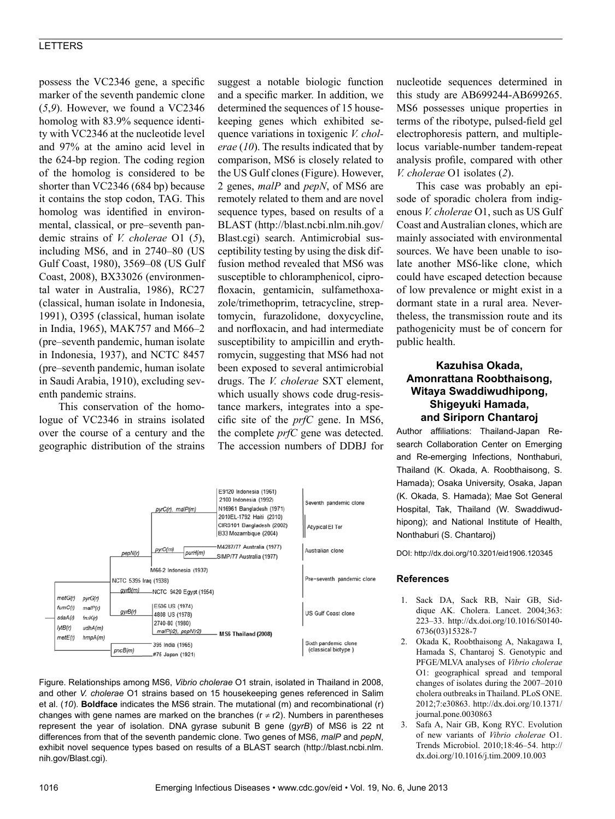#### LETTERS

possess the VC2346 gene, a specific marker of the seventh pandemic clone (*5*,*9*). However, we found a VC2346 homolog with 83.9% sequence identity with VC2346 at the nucleotide level and 97% at the amino acid level in the 624-bp region. The coding region of the homolog is considered to be shorter than VC2346 (684 bp) because it contains the stop codon, TAG. This homolog was identified in environmental, classical, or pre–seventh pandemic strains of *V. cholerae* O1 (*5*), including MS6, and in 2740–80 (US Gulf Coast, 1980), 3569–08 (US Gulf Coast, 2008), BX33026 (environmental water in Australia, 1986), RC27 (classical, human isolate in Indonesia, 1991), O395 (classical, human isolate in India, 1965), MAK757 and M66–2 (pre–seventh pandemic, human isolate in Indonesia, 1937), and NCTC 8457 (pre–seventh pandemic, human isolate in Saudi Arabia, 1910), excluding seventh pandemic strains.

This conservation of the homologue of VC2346 in strains isolated over the course of a century and the geographic distribution of the strains suggest a notable biologic function and a specific marker. In addition, we determined the sequences of 15 housekeeping genes which exhibited sequence variations in toxigenic *V. cholerae* (*10*). The results indicated that by comparison, MS6 is closely related to the US Gulf clones (Figure). However, 2 genes, *malP* and *pepN*, of MS6 are remotely related to them and are novel sequence types, based on results of a BLAST (http://blast.ncbi.nlm.nih.gov/ Blast.cgi) search. Antimicrobial susceptibility testing by using the disk diffusion method revealed that MS6 was susceptible to chloramphenicol, ciprofloxacin, gentamicin, sulfamethoxazole/trimethoprim, tetracycline, streptomycin, furazolidone, doxycycline, and norfloxacin, and had intermediate susceptibility to ampicillin and erythromycin, suggesting that MS6 had not been exposed to several antimicrobial drugs. The *V. cholerae* SXT element, which usually shows code drug-resistance markers, integrates into a specific site of the *prfC* gene. In MS6, the complete *prfC* gene was detected. The accession numbers of DDBJ for



Figure. Relationships among MS6, *Vibrio cholerae* O1 strain, isolated in Thailand in 2008, and other *V. cholerae* O1 strains based on 15 housekeeping genes referenced in Salim et al. (*10*). **Boldface** indicates the MS6 strain. The mutational (m) and recombinational (r) changes with gene names are marked on the branches ( $r \neq r2$ ). Numbers in parentheses represent the year of isolation. DNA gyrase subunit B gene (g*yrB*) of MS6 is 22 nt differences from that of the seventh pandemic clone. Two genes of MS6, *malP* and *pepN*, exhibit novel sequence types based on results of a BLAST search (http://blast.ncbi.nlm. nih.gov/Blast.cgi).

nucleotide sequences determined in this study are AB699244-AB699265. MS6 possesses unique properties in terms of the ribotype, pulsed-field gel electrophoresis pattern, and multiplelocus variable-number tandem-repeat analysis profile, compared with other *V. cholerae* O1 isolates (*2*).

This case was probably an episode of sporadic cholera from indigenous *V. cholerae* O1, such as US Gulf Coast and Australian clones, which are mainly associated with environmental sources. We have been unable to isolate another MS6-like clone, which could have escaped detection because of low prevalence or might exist in a dormant state in a rural area. Nevertheless, the transmission route and its pathogenicity must be of concern for public health.

### **Kazuhisa Okada, Amonrattana Roobthaisong, Witaya Swaddiwudhipong, Shigeyuki Hamada, and Siriporn Chantaroj**

Author affiliations: Thailand-Japan Research Collaboration Center on Emerging and Re-emerging Infections, Nonthaburi, Thailand (K. Okada, A. Roobthaisong, S. Hamada); Osaka University, Osaka, Japan (K. Okada, S. Hamada); Mae Sot General Hospital, Tak, Thailand (W. Swaddiwudhipong); and National Institute of Health, Nonthaburi (S. Chantaroj)

DOI: http://dx.doi.org/10.3201/eid1906.120345

#### **References**

- 1. Sack DA, Sack RB, Nair GB, Siddique AK. Cholera. Lancet. 2004;363: 223–33. http://dx.doi.org/10.1016/S0140- 6736(03)15328-7
- 2. Okada K, Roobthaisong A, Nakagawa I, Hamada S, Chantaroj S. Genotypic and PFGE/MLVA analyses of *Vibrio cholerae* O1: geographical spread and temporal changes of isolates during the 2007–2010 cholera outbreaks in Thailand. PLoS ONE. 2012;7:e30863. http://dx.doi.org/10.1371/ journal.pone.0030863
- 3. Safa A, Nair GB, Kong RYC. Evolution of new variants of *Vibrio cholerae* O1. Trends Microbiol. 2010;18:46–54. http:// dx.doi.org/10.1016/j.tim.2009.10.003